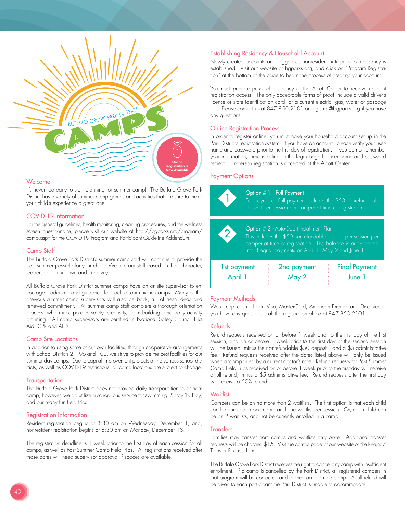

#### Welcome

It's never too early to start planning for summer camp! The Buffalo Grove Park District has a variety of summer camp games and activities that are sure to make your child's experience a great one.

## COVID-19 Information

For the general guidelines, health monitoring, cleaning procedures, and the wellness screen questionnaire, please visit our website at http://bgparks.org/program/ camp.aspx for the COVID-19 Program and Participant Guideline Addendum.

## Camp Staff

The Buffalo Grove Park District's summer camp staff will continue to provide the best summer possible for your child. We hire our staff based on their character, leadership, enthusiasm and creativity.

All Buffalo Grove Park District summer camps have an on-site supervisor to encourage leadership and guidance for each of our unique camps. Many of the previous summer camp supervisors will also be back, full of fresh ideas and renewed commitment. All summer camp staff complete a thorough orientation process, which incorporates safety, creativity, team building, and daily activity planning. All camp supervisors are certified in National Safety Council First Aid, CPR and AED.

#### Camp Site Locations

In addition to using some of our own facilities, through cooperative arrangements with School Districts 21, 96 and 102, we strive to provide the best facilities for our summer day camps. Due to capital improvement projects at the various school districts, as well as COVID-19 restrictions, all camp locations are subject to change.

#### **Transportation**

The Buffalo Grove Park District does not provide daily transportation to or from camp; however, we do utilize a school bus service for swimming, Spray 'N Play, and our many fun field trips.

#### Registration Information

Resident registration begins at 8:30 am on Wednesday, December 1; and, nonresident registration begins at 8:30 am on Monday, December 13.

The registration deadline is 1 week prior to the first day of each session for all camps, as well as Post Summer Camp Field Trips. All registrations received after those dates will need supervisor approval if spaces are available.

## Establishing Residency & Household Account

Newly created accounts are flagged as nonresident until proof of residency is established. Visit our website at bgparks.org, and click on "Program Registration" at the bottom of the page to begin the process of creating your account.

You must provide proof of residency at the Alcott Center to receive resident registration access. The only acceptable forms of proof include a valid driver's license or state identification card, or a current electric, gas, water or garbage bill. Please contact us at 847.850.2101 or registrar@bgparks.org if you have any questions.

## Online Registration Process

In order to register online, you must have your household account set up in the Park District's registration system. If you have an account, please verify your username and password prior to the first day of registration. If you do not remember your information, there is a link on the login page for user name and password retrieval. In-person registration is accepted at the Alcott Center.

#### Payment Options



# Payment Methods

We accept cash, check, Visa, MasterCard, American Express and Discover. If you have any questions, call the registration office at 847.850.2101.

#### Refunds

Refund requests received on or before 1 week prior to the first day of the first session, and on or before 1 week prior to the first day of the second session will be issued, minus the nonrefundable \$50 deposit, and a \$5 administrative fee. Refund requests received after the dates listed above will only be issued when accompanied by a current doctor's note. Refund requests for Post Summer Camp Field Trips received on or before 1 week prior to the first day will receive a full refund, minus a \$5 administrative fee. Refund requests after the first day will receive a 50% refund.

#### **Waitlist**

Campers can be on no more than 2 waitlists. The first option is that each child can be enrolled in one camp and one waitlist per session. Or, each child can be on 2 waitlists, and not be currently enrolled in a camp.

#### **Transfers**

Families may transfer from camps and waitlists only once. Additional transfer requests will be charged \$15. Visit the camps page of our website or the Refund/ Transfer Request form.

The Buffalo Grove Park District reserves the right to cancel any camp with insufficient enrollment. If a camp is cancelled by the Park District, all registered campers in that program will be contacted and offered an alternate camp. A full refund will be given to each participant the Park District is unable to accommodate.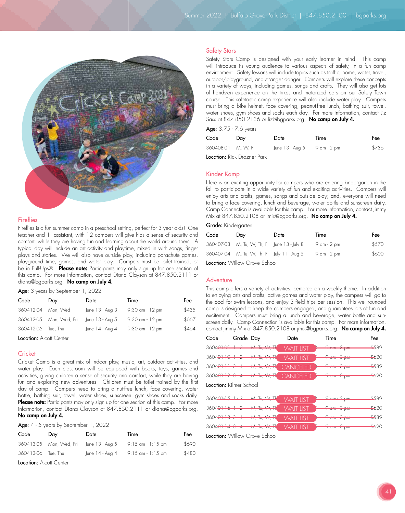

# **Fireflies**

Fireflies is a fun summer camp in a preschool setting, perfect for 3 year olds! One teacher and 1 assistant, with 12 campers will give kids a sense of security and comfort, while they are having fun and learning about the world around them. A typical day will include an art activity and playtime, mixed in with songs, finger plays and stories. We will also have outside play, including parachute games, playground time, games, and water play. Campers must be toilet trained, or be in Pull-Ups®. Please note: Participants may only sign up for one section of this camp. For more information, contact Diana Clayson at 847.850.2111 or diana@bgparks.org. No camp on July 4.

Age: 3 years by September 1, 2022

| Code      | Day                     | Date               | Time               | Fee   |
|-----------|-------------------------|--------------------|--------------------|-------|
| 360412-04 | Mon, Wed                | June 13 - Aug 3    | $9:30$ am $-12$ pm | \$435 |
|           | 360412-05 Mon, Wed, Fri | $ $ une 13 - Aug 5 | $9:30$ am $-12$ pm | \$667 |
| 360412-06 | Tue, Thu                | June 14 - Aug 4    | $9:30$ am $-12$ pm | \$464 |
|           |                         |                    |                    |       |

Location: Alcott Center

## **Cricket**

Cricket Camp is a great mix of indoor play, music, art, outdoor activities, and water play. Each classroom will be equipped with books, toys, games and activities, giving children a sense of security and comfort, while they are having fun and exploring new adventures. Children must be toilet trained by the first day of camp. Campers need to bring a nut-free lunch, face covering, water bottle, bathing suit, towel, water shoes, sunscreen, gym shoes and socks daily. Please note: Participants may only sign up for one section of this camp. For more information, contact Diana Clayson at 847.850.2111 or diana@bgparks.org. No camp on July 4.

Age: 4 - 5 years by September 1, 2022

| Code                    | Dav                     | Date            | Time                | Fee   |  |
|-------------------------|-------------------------|-----------------|---------------------|-------|--|
|                         | 360413-05 Mon, Wed, Fri | June 13 - Aug 5 | $9:15$ am - 1:15 pm | \$690 |  |
| 360413-06 Tue, Thu      |                         | June 14 - Aug 4 | 9:15 am - 1:15 pm   | \$480 |  |
| Location: Alcott Center |                         |                 |                     |       |  |

#### Safety Stars

Safety Stars Camp is designed with your early learner in mind. This camp will introduce its young audience to various aspects of safety, in a fun camp environment. Safety lessons will include topics such as traffic, home, water, travel, outdoor/playground, and stranger danger. Campers will explore these concepts in a variety of ways, including games, songs and crafts. They will also get lots of hands-on experience on the trikes and motorized cars on our Safety Town course. This safetastic camp experience will also include water play. Campers must bring a bike helmet, face covering, peanut-free lunch, bathing suit, towel, water shoes, gym shoes and socks each day. For more information, contact Liz Sass at 847.850.2136 or liz@bgparks.org. No camp on July 4.

Age: 3.75 - 7.6 years

| Code              | Dav | Date                        | Time | Fee   |  |
|-------------------|-----|-----------------------------|------|-------|--|
| 360408-01 M, W, F |     | June 13 - Aug 5 9 am - 2 pm |      | \$736 |  |
|                   |     |                             |      |       |  |

Location: Rick Drazner Park

## Kinder Kamp

Here is an exciting opportunity for campers who are entering kindergarten in the fall to participate in a wide variety of fun and exciting activities. Campers will enjoy arts and crafts, games, songs and outside play; and, everyone will need to bring a face covering, lunch and beverage, water bottle and sunscreen daily. Camp Connection is available for this camp. For more information, contact Jimmy Mix at 847.850.2108 or jmix@bgparks.org. No camp on July 4.

#### Grade: Kindergarten

| Code                          | Day                                        | Date | Time        | Fee   |  |
|-------------------------------|--------------------------------------------|------|-------------|-------|--|
|                               | 360407-03 M, Tu, W, Th, F June 13 - July 8 |      | 9 am - 2 pm | \$570 |  |
|                               | 360407-04 M, Tu, W, Th, F July 11 - Aug 5  |      | 9 am - 2 pm | \$600 |  |
| Location: Willow Grove School |                                            |      |             |       |  |

## **Adventure**

This camp offers a variety of activities, centered on a weekly theme. In addition to enjoying arts and crafts, active games and water play, the campers will go to the pool for swim lessons, and enjoy 3 field trips per session. This well-rounded camp is designed to keep the campers engaged, and guarantees lots of fun and excitement. Campers must bring a lunch and beverage, water bottle and sunscreen daily. Camp Connection is available for this camp. For more information, contact Jimmy Mix at 847.850.2108 or jmix@bgparks.org. No camp on July 4.

| Code                           | Grade Day |                                                                                                    | Date             | Time                   | Fee   |
|--------------------------------|-----------|----------------------------------------------------------------------------------------------------|------------------|------------------------|-------|
| $36040109 + 2$                 |           | <del>M, To, W, TK</del>                                                                            | <b>WAIT LIST</b> | <del>-? am -3 pm</del> | \$589 |
| $36040 + 10 + 2$               |           | <del>M, Tu, W, Th</del>                                                                            | <b>WAIT LIST</b> | <del>9 am 3 pm</del>   | \$620 |
| $36040 + 34$                   |           | $\Lambda \Lambda$ T. $\Lambda \Lambda$ T.<br><u> Antonio per la Secolul de la provincia de la </u> | <b>CANCELED</b>  | <del>9 am 3 pm</del>   | \$589 |
| $36040 + 123 + 4$              |           | <del>/v\, To, Vv, TH</del>                                                                         | <b>CANCELED</b>  | <del>9 um 8 pm</del>   | \$620 |
| <b>Location:</b> Kilmer School |           |                                                                                                    |                  |                        |       |
| 3604911512                     |           | <u>AA T. \A/ TL</u>                                                                                | <b>WAIT LIST</b> | <u>  Qam - 3 pm</u>    | \$589 |
| $36040 + 16 + 2$               |           | AA T AAA TL<br><b>EXAMPLE CONTINUES.</b>                                                           | <b>WAIT LIST</b> |                        | \$620 |
| $36040 + 334$                  |           | $AA$ T. $AA$ T.<br><u>ta ka yang tagap ng makanggunan n</u>                                        | <b>WAIT LIST</b> | <del>9 am 3 pm</del>   | \$589 |
| $36040 + 143 + 4$              |           | $\lambda$ $\lambda$ $\tau$ $\lambda$ $\lambda$ $\tau$ $\tau$ l.<br><b>TAN TO THE MANUFACTURE</b>   | <b>WAIT LIST</b> | <del>9 am - 3 pm</del> | \$620 |
|                                |           | $l$ gaataa: $M\ _{\infty}$ are Cahaal                                                              |                  |                        |       |

**Location:** VVillow Grove School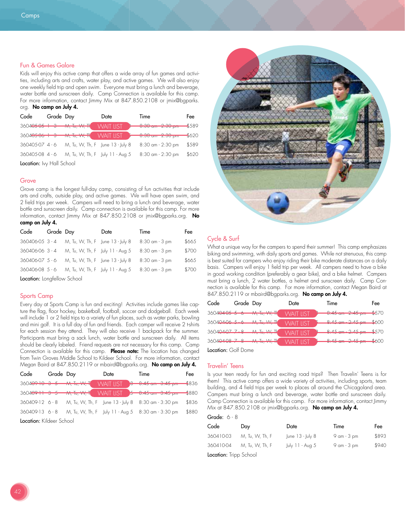## Fun & Games Galore

Kids will enjoy this active camp that offers a wide array of fun games and activities, including arts and crafts, water play, and active games. We will also enjoy one weekly field trip and open swim. Everyone must bring a lunch and beverage, water bottle and sunscreen daily. Camp Connection is available for this camp. For more information, contact Jimmy Mix at 847.850.2108 or jmix@bgparks. org. No camp on July 4.

| Code                      | Grade Day |                                        | Date                             | Time                                 | Fee   |  |
|---------------------------|-----------|----------------------------------------|----------------------------------|--------------------------------------|-------|--|
|                           |           | 3604 <del>05 05 1 0 M, Tu, W, Tl</del> | <b>WAIT LIST</b>                 | 0.00<br>0.00<br>$0.00$ am $-2.00$ pm | \$589 |  |
| $36040506 + 3$            |           | <b>M, To, W, TK</b>                    | <b>WAIT LIST</b>                 | $0.30$ am $2.30$ pm                  | \$620 |  |
| 360405-07 4 - 6           |           |                                        | M, Tu, W, Th, F June 13 - July 8 | 8:30 am - 2:30 pm                    | \$589 |  |
| 360405-08 4 - 6           |           |                                        | M, Tu, W, Th, F July 11 - Aug 5  | 8:30 am - 2:30 pm                    | \$620 |  |
| Location: Ivy Hall School |           |                                        |                                  |                                      |       |  |

#### **Grove**

Grove camp is the longest full-day camp, consisting of fun activities that include arts and crafts, outside play, and active games. We will have open swim, and 2 field trips per week. Campers will need to bring a lunch and beverage, water bottle and sunscreen daily. Camp connection is available for this camp. For more information, contact Jimmy Mix at 847.850.2108 or jmix@bgparks.org. No camp on July 4.

| Code                        | Grade Day |                                  | Date | Time           | Fee   |  |
|-----------------------------|-----------|----------------------------------|------|----------------|-------|--|
| 360406-05 3 - 4             |           | M, Tu, W, Th, F June 13 - July 8 |      | 8:30 am - 3 pm | \$665 |  |
| 360406-06 3 - 4             |           | M, Tu, W, Th, F July 11 - Aug 5  |      | 8:30 am - 3 pm | \$700 |  |
| 360406-07 5 - 6             |           | M, Tu, W, Th, F June 13 - July 8 |      | 8:30 am - 3 pm | \$665 |  |
| 360406-08 5 - 6             |           | M, Tu, W, Th, F July 11 - Aug 5  |      | 8:30 am - 3 pm | \$700 |  |
| Location: Longfellow School |           |                                  |      |                |       |  |

#### Sports Camp

Every day at Sports Camp is fun and exciting! Activities include games like capture the flag, floor hockey, basketball, football, soccer and dodgeball. Each week will include 1 or 2 field trips to a variety of fun places, such as water parks, bowling and mini golf. It is a full day of fun and friends. Each camper will receive 2 t-shirts for each session they attend. They will also receive 1 backpack for the summer. Participants must bring a sack lunch, water bottle and sunscreen daily. All items should be clearly labeled. Friend requests are not necessary for this camp. Camp Connection is available for this camp. Please note: The location has changed from Twin Groves Middle School to Kildeer School. For more information, contact Megan Baird at 847.850.2119 or mbaird@bgparks.org. No camp on July 4.

| Code                     | Grade Day |                                       | Date | Time                                               | Fee       |  |
|--------------------------|-----------|---------------------------------------|------|----------------------------------------------------|-----------|--|
| $360409 + 0 + 3 - 5 - 0$ |           |                                       |      | WAIT LIST <del>0 0.45 cm 0.45 pm =</del>           | $-$ \$836 |  |
|                          |           | $360409 - 1 - 9 - 5 - 1$ wi, Tu, W, T |      |                                                    | $-1880$   |  |
| $360409-12$ 6 - 8        |           |                                       |      | M, Tu, W, Th, F June 13 - July 8 8:30 am - 3:30 pm | \$836     |  |
| $360409-136 - 8$         |           |                                       |      | M, Tu, W, Th, F July 11 - Aug 5 8:30 am - 3:30 pm  | \$880     |  |
| Location: Kildeer School |           |                                       |      |                                                    |           |  |



# Cycle & Surf

What a unique way for the campers to spend their summer! This camp emphasizes biking and swimming, with daily sports and games. While not strenuous, this camp is best suited for campers who enjoy riding their bike moderate distances on a daily basis. Campers will enjoy 1 field trip per week. All campers need to have a bike in good working condition (preferably a gear bike), and a bike helmet. Campers must bring a lunch, 2 water bottles, a helmet and sunscreen daily. Camp Connection is available for this camp. For more information, contact Megan Baird at 847.850.2119 or mbaird@bgparks.org. No camp on July 4.

| Code           | Grade Day |                                           | Date             | Time |                                   | Fee |
|----------------|-----------|-------------------------------------------|------------------|------|-----------------------------------|-----|
|                |           | 3604 <del>04 05 5 6 M, Tu, W, TK</del>    | <b>WAIT LIST</b> |      | $-8.45$ am $-2.45$ pm $-4570$     |     |
|                |           | $3604040656$ $3.4470, 10/71$              | <b>WAIT IIST</b> |      | <del>8:45 am 2:45 pm \$</del> 600 |     |
| 3604040778     |           | <del>۸۸, Tu, ۸۸, T</del> k                | <b>WAIT IIST</b> |      | $4.45$ em $-2.45$ pm $-570$       |     |
| $36049498 - 8$ |           | $\Lambda \Lambda$ T. $\Lambda \Lambda$ TL | <b>WAIT IIST</b> |      | $9.45$ am $2.45$ pm $$600$        |     |
|                |           |                                           |                  |      |                                   |     |

Location: Golf Dome

## Travelin' Teens

Is your teen ready for fun and exciting road trips? Then Travelin' Teens is for them! This active camp offers a wide variety of activities, including sports, team building, and 4 field trips per week to places all around the Chicagoland area. Campers must bring a lunch and beverage, water bottle and sunscreen daily. Camp Connection is available for this camp. For more information, contact Jimmy Mix at 847.850.2108 or jmix@bgparks.org. No camp on July 4.

## Grade: 6 - 8

| Code                   | Dav             | Date                 | Time            | Fee   |
|------------------------|-----------------|----------------------|-----------------|-------|
| 360410-03              | M, Tu, W, Th, F | June $13 -$ July $8$ | $9$ am - $3$ pm | \$893 |
| 360410-04              | M, Tu, W, Th, F | July 11 - Aug 5      | $9$ am - $3$ pm | \$940 |
| Location: Tripp School |                 |                      |                 |       |

Location: Iripp School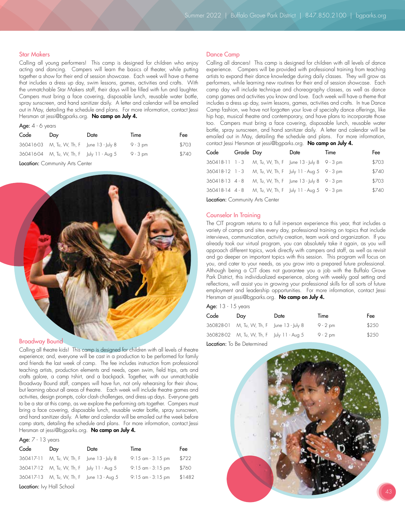#### Star Makers

Calling all young performers! This camp is designed for children who enjoy acting and dancing. Campers will learn the basics of theater, while putting together a show for their end of session showcase. Each week will have a theme that includes a dress up day, swim lessons, games, activities and crafts. With the unmatchable Star Makers staff, their days will be filled with fun and laughter. Campers must bring a face covering, disposable lunch, reusable water bottle, spray sunscreen, and hand sanitizer daily. A letter and calendar will be emailed out in May, detailing the schedule and plans. For more information, contact Jessi Hersman at jessi@bgparks.org. No camp on July 4.

### Age:  $4 - 6$  years

| Code | Day                                        | Date | Time       | Fee   |
|------|--------------------------------------------|------|------------|-------|
|      | 360416-03 M, Tu, W, Th, F June 13 - July 8 |      | $9 - 3$ pm | \$703 |
|      | 360416-04 M, Tu, W, Th, F July 11 - Aug 5  |      | $9 - 3$ pm | \$740 |
|      |                                            |      |            |       |

Location: Community Arts Center



#### Broadway Bound

Calling all theatre kids! This camp is designed for children with all levels of theatre experience; and, everyone will be cast in a production to be performed for family and friends the last week of camp. The fee includes instruction from professional teaching artists, production elements and needs, open swim, field trips, arts and crafts galore, a camp t-shirt, and a backpack. Together, with our unmatchable Broadway Bound staff, campers will have fun, not only rehearsing for their show, but learning about all areas of theatre. Each week will include theatre games and activities, design prompts, color clash challenges, and dress up days. Everyone gets to be a star at this camp, as we explore the performing arts together. Campers must bring a face covering, disposable lunch, reusable water bottle, spray sunscreen, and hand sanitizer daily. A letter and calendar will be emailed out the week before camp starts, detailing the schedule and plans. For more information, contact Jessi Hersman at jessi@bgparks.org. No camp on July 4.

#### Age:  $7 - 13$  years

| Code                             | Day                                        | Date | Time                 | Fee    |  |
|----------------------------------|--------------------------------------------|------|----------------------|--------|--|
|                                  | 360417-11 M, Tu, W, Th, F June 13 - July 8 |      | $9:15$ am $-3:15$ pm | \$722  |  |
|                                  | 360417-12 M, Tu, W, Th, F July 11 - Aug 5  |      | 9:15 am - 3:15 pm    | \$760  |  |
|                                  | 360417-13 M, Tu, W, Th, F June 13 - Aug 5  |      | $9:15$ am $-3:15$ pm | \$1482 |  |
| <b>Location:</b> Ivy Hall School |                                            |      |                      |        |  |

#### Dance Camp

Calling all dancers! This camp is designed for children with all levels of dance experience. Campers will be provided with professional training from teaching artists to expand their dance knowledge during daily classes. They will grow as performers, while learning new routines for their end of session showcase. Each camp day will include technique and choreography classes, as well as dance camp games and activities you know and love. Each week will have a theme that includes a dress up day, swim lessons, games, activities and crafts. In true Dance Camp fashion, we have not forgotten your love of specialty dance offerings, like hip hop, musical theatre and contemporary, and have plans to incorporate those too. Campers must bring a face covering, disposable lunch, reusable water bottle, spray sunscreen, and hand sanitizer daily. A letter and calendar will be emailed out in May, detailing the schedule and plans. For more information, contact Jessi Hersman at jessi@bgparks.org. No camp on July 4.

| Code                                                                                                | Grade Day |                                                       | Date | Time | Fee   |
|-----------------------------------------------------------------------------------------------------|-----------|-------------------------------------------------------|------|------|-------|
|                                                                                                     |           | 360418-11 1-3 M, Tu, W, Th, F June 13 - July 8 9-3 pm |      |      | \$703 |
| $360418-12$ 1 - 3                                                                                   |           | M, Tu, W, Th, F July 11 - Aug 5 9 - 3 pm              |      |      | \$740 |
| $360418-13$ 4 - 8                                                                                   |           | M, Tu, W, Th, F June 13 - July 8 9 - 3 pm             |      |      | \$703 |
| $360418-14$ 4 - 8                                                                                   |           | M, Tu, W, Th, F July 11 - Aug 5 9 - 3 pm              |      |      | \$740 |
| $L_{\rm{sc}}$ and $L_{\rm{c}}$ are $C_{\rm{sc}}$ and $L_{\rm{c}}$ and $L_{\rm{c}}$ and $L_{\rm{c}}$ |           |                                                       |      |      |       |

Location: Community Arts Center

#### Counselor In Training

The CIT program returns to a full in-person experience this year, that includes a variety of camps and sites every day, professional training on topics that include interviews, communication, activity creation, team work and organization. If you already took our virtual program, you can absolutely take it again, as you will approach different topics, work directly with campers and staff, as well as revisit and go deeper on important topics with this session. This program will focus on you, and cater to your needs, as you grow into a prepared future professional. Although being a CIT does not guarantee you a job with the Buffalo Grove Park District, this individualized experience, along with weekly goal setting and reflections, will assist you in growing your professional skills for all sorts of future employment and leadership opportunities. For more information, contact Jessi Hersman at jessi@bgparks.org. No camp on July 4.

Age: 13 - 15 years

| Code | Day                                        | Date | Time       | Fee   |
|------|--------------------------------------------|------|------------|-------|
|      | 360828-01 M, Tu, W, Th, F June 13 - July 8 |      | $9 - 2$ pm | \$250 |
|      | 360828-02 M, Tu, W, Th, F July 11 - Aug 5  |      | 9 - 2 pm   | \$250 |
|      |                                            |      |            |       |

Location: To Be Determined